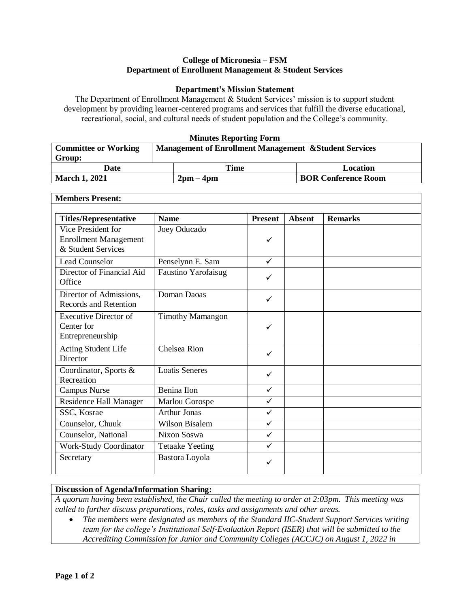## **College of Micronesia – FSM Department of Enrollment Management & Student Services**

## **Department's Mission Statement**

The Department of Enrollment Management & Student Services' mission is to support student development by providing learner-centered programs and services that fulfill the diverse educational, recreational, social, and cultural needs of student population and the College's community.

## **Minutes Reporting Form**

| <b>Committee or Working</b> | <b>Management of Enrollment Management &amp; Student Services</b> |                             |                            |  |
|-----------------------------|-------------------------------------------------------------------|-----------------------------|----------------------------|--|
| Group:                      |                                                                   |                             |                            |  |
| Date                        |                                                                   | Time                        | Location                   |  |
| <b>March 1, 2021</b>        |                                                                   | $2 \text{pm} - 4 \text{pm}$ | <b>BOR Conference Room</b> |  |

| <b>Members Present:</b>                                                  |                         |                |               |                |  |  |
|--------------------------------------------------------------------------|-------------------------|----------------|---------------|----------------|--|--|
| <b>Titles/Representative</b>                                             | <b>Name</b>             | <b>Present</b> | <b>Absent</b> | <b>Remarks</b> |  |  |
| Vice President for<br><b>Enrollment Management</b><br>& Student Services | Joey Oducado            | $\checkmark$   |               |                |  |  |
| <b>Lead Counselor</b>                                                    | Penselynn E. Sam        | $\checkmark$   |               |                |  |  |
| Director of Financial Aid<br>Office                                      | Faustino Yarofaisug     | ✓              |               |                |  |  |
| Director of Admissions,<br><b>Records and Retention</b>                  | Doman Daoas             | $\checkmark$   |               |                |  |  |
| <b>Executive Director of</b><br>Center for<br>Entrepreneurship           | <b>Timothy Mamangon</b> | ✓              |               |                |  |  |
| Acting Student Life<br>Director                                          | Chelsea Rion            | $\checkmark$   |               |                |  |  |
| Coordinator, Sports &<br>Recreation                                      | <b>Loatis Seneres</b>   | $\checkmark$   |               |                |  |  |
| <b>Campus Nurse</b>                                                      | Benina Ilon             | $\checkmark$   |               |                |  |  |
| Residence Hall Manager                                                   | Marlou Gorospe          | $\checkmark$   |               |                |  |  |
| SSC, Kosrae                                                              | <b>Arthur Jonas</b>     | $\checkmark$   |               |                |  |  |
| Counselor, Chuuk                                                         | <b>Wilson Bisalem</b>   | $\checkmark$   |               |                |  |  |
| Counselor, National                                                      | Nixon Soswa             | $\checkmark$   |               |                |  |  |
| <b>Work-Study Coordinator</b>                                            | <b>Tetaake Yeeting</b>  | $\checkmark$   |               |                |  |  |
| Secretary                                                                | Bastora Loyola          | ✓              |               |                |  |  |

## **Discussion of Agenda/Information Sharing:**

*A quorum having been established, the Chair called the meeting to order at 2:03pm. This meeting was called to further discuss preparations, roles, tasks and assignments and other areas.* 

 *The members were designated as members of the Standard IIC-Student Support Services writing team for the college's Institutional Self-Evaluation Report (ISER) that will be submitted to the Accrediting Commission for Junior and Community Colleges (ACCJC) on August 1, 2022 in*